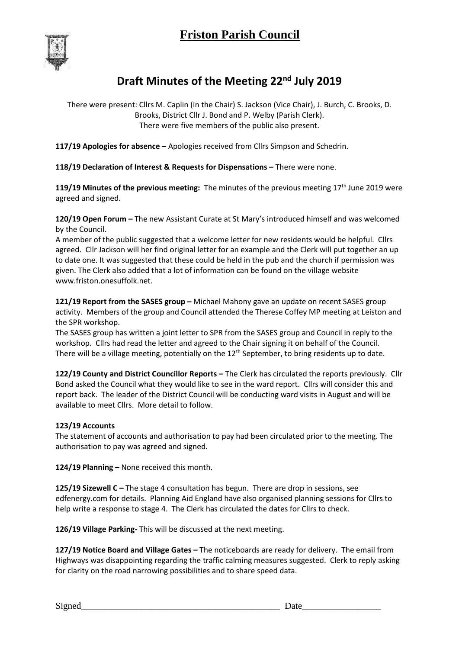

## **Draft Minutes of the Meeting 22nd July 2019**

There were present: Cllrs M. Caplin (in the Chair) S. Jackson (Vice Chair), J. Burch, C. Brooks, D. Brooks, District Cllr J. Bond and P. Welby (Parish Clerk). There were five members of the public also present.

**117/19 Apologies for absence –** Apologies received from Cllrs Simpson and Schedrin.

**118/19 Declaration of Interest & Requests for Dispensations –** There were none.

**119/19 Minutes of the previous meeting:** The minutes of the previous meeting 17th June 2019 were agreed and signed.

**120/19 Open Forum –** The new Assistant Curate at St Mary's introduced himself and was welcomed by the Council.

A member of the public suggested that a welcome letter for new residents would be helpful. Cllrs agreed. Cllr Jackson will her find original letter for an example and the Clerk will put together an up to date one. It was suggested that these could be held in the pub and the church if permission was given. The Clerk also added that a lot of information can be found on the village website www.friston.onesuffolk.net.

**121/19 Report from the SASES group –** Michael Mahony gave an update on recent SASES group activity. Members of the group and Council attended the Therese Coffey MP meeting at Leiston and the SPR workshop.

The SASES group has written a joint letter to SPR from the SASES group and Council in reply to the workshop. Cllrs had read the letter and agreed to the Chair signing it on behalf of the Council. There will be a village meeting, potentially on the  $12<sup>th</sup>$  September, to bring residents up to date.

**122/19 County and District Councillor Reports –** The Clerk has circulated the reports previously. Cllr Bond asked the Council what they would like to see in the ward report. Cllrs will consider this and report back. The leader of the District Council will be conducting ward visits in August and will be available to meet Cllrs. More detail to follow.

## **123/19 Accounts**

The statement of accounts and authorisation to pay had been circulated prior to the meeting. The authorisation to pay was agreed and signed.

**124/19 Planning –** None received this month.

**125/19 Sizewell C –** The stage 4 consultation has begun. There are drop in sessions, see edfenergy.com for details. Planning Aid England have also organised planning sessions for Cllrs to help write a response to stage 4. The Clerk has circulated the dates for Cllrs to check.

**126/19 Village Parking-** This will be discussed at the next meeting.

**127/19 Notice Board and Village Gates –** The noticeboards are ready for delivery. The email from Highways was disappointing regarding the traffic calming measures suggested. Clerk to reply asking for clarity on the road narrowing possibilities and to share speed data.

Signed\_\_\_\_\_\_\_\_\_\_\_\_\_\_\_\_\_\_\_\_\_\_\_\_\_\_\_\_\_\_\_\_\_\_\_\_\_\_\_\_\_\_\_ Date\_\_\_\_\_\_\_\_\_\_\_\_\_\_\_\_\_